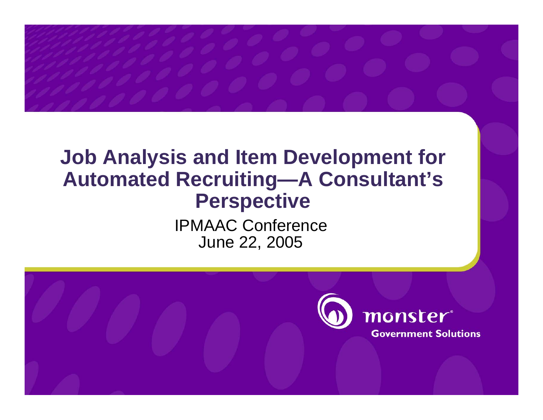### **Job Analysis and Item Development for Automated Recruiting—A Consultant's Perspective**

IPMAAC ConferenceJune 22, 2005

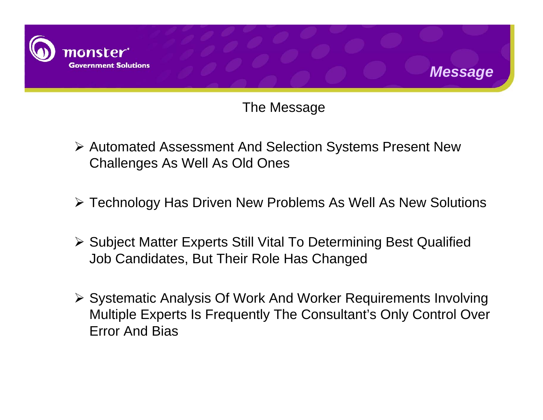



*Message*

- ¾ Automated Assessment And Selection Systems Present New Challenges As Well As Old Ones
- ¾ Technology Has Driven New Problems As Well As New Solutions
- ¾ Subject Matter Experts Still Vital To Determining Best Qualified Job Candidates, But Their Role Has Changed
- ¾ Systematic Analysis Of Work And Worker Requirements Involving Multiple Experts Is Frequently The Consultant's Only Control Over Error And Bias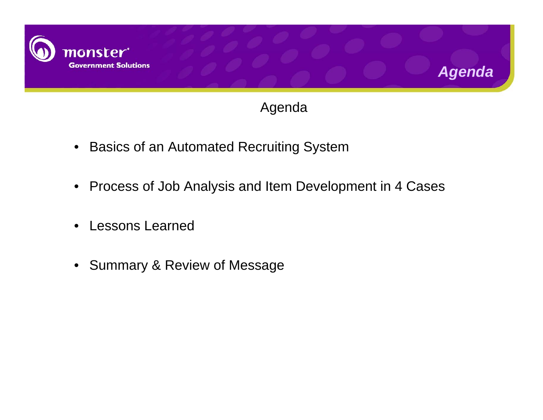



*Agenda* 

- Basics of an Automated Recruiting System
- Process of Job Analysis and Item Development in 4 Cases
- •Lessons Learned
- Summary & Review of Message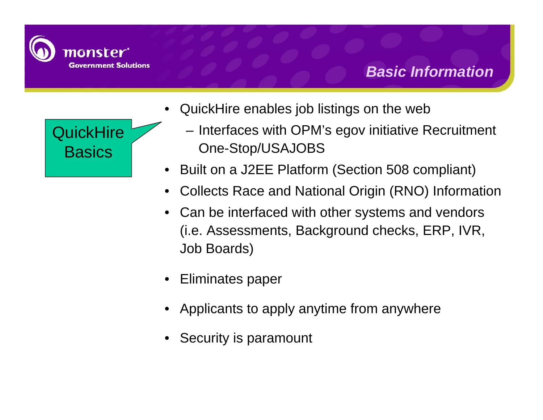

#### *Basic Information*



- • QuickHire enables job listings on the web
	- – Interfaces with OPM's egov initiative Recruitment One-Stop/USAJOBS
- •Built on a J2EE Platform (Section 508 compliant)
- •Collects Race and National Origin (RNO) Information
- Can be interfaced with other systems and vendors (i.e. Assessments, Background checks, ERP, IVR, Job Boards)
- •Eliminates paper
- Applicants to apply anytime from anywhere
- •Security is paramount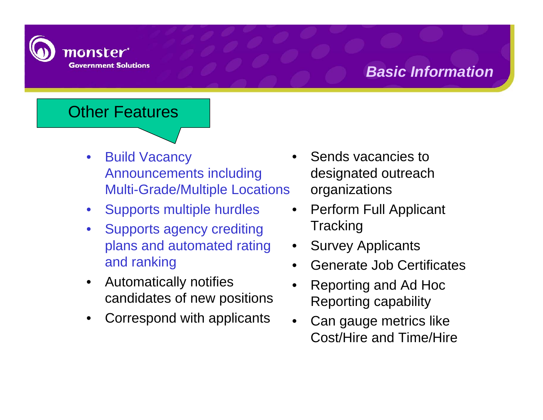

#### *Basic Information*

#### Other Features

- $\bullet$  Build Vacancy Announcements including Multi-Grade/Multiple Locations
- •Supports multiple hurdles
- • Supports agency crediting plans and automated rating and ranking
- $\bullet$  Automatically notifies candidates of new positions
- •Correspond with applicants
- • Sends vacancies to designated outreach organizations
- • Perform Full Applicant **Tracking**
- •Survey Applicants
- •Generate Job Certificates
- • Reporting and Ad Hoc Reporting capability
- • Can gauge metrics like Cost/Hire and Time/Hire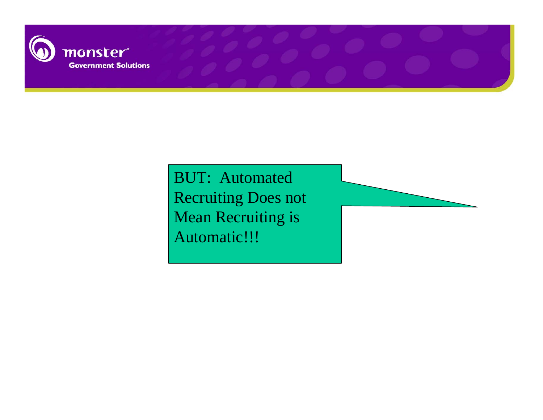

BUT: Automated Recruiting Does not Mean Recruiting is Automatic!!!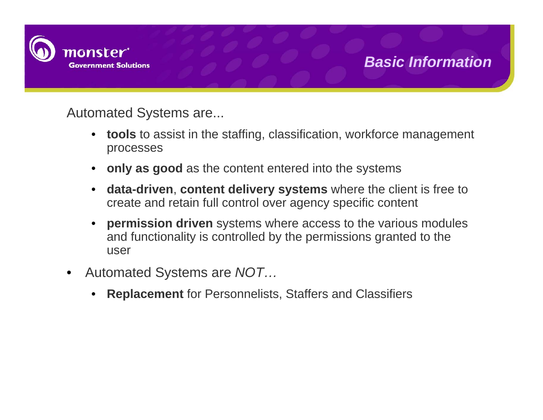

#### *Basic Information*

Automated Systems are...

- • **tools** to assist in the staffing, classification, workforce management processes
- •**only as good** as the content entered into the systems
- • **data-driven**, **content delivery systems** where the client is free to create and retain full control over agency specific content
- • **permission driven** systems where access to the various modules and functionality is controlled by the permissions granted to the user
- • Automated Systems are *NOT…*
	- •**Replacement** for Personnelists, Staffers and Classifiers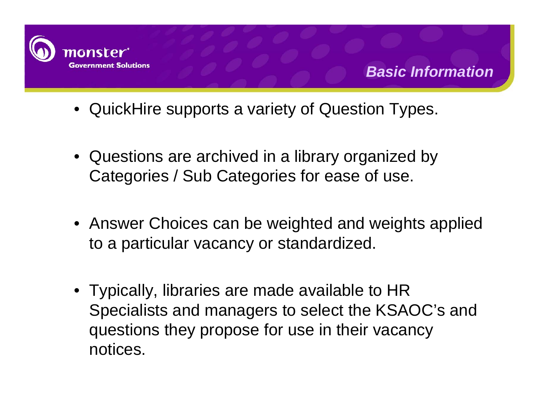

- QuickHire supports a variety of Question Types.
- Questions are archived in a library organized by Categories / Sub Categories for ease of use.
- Answer Choices can be weighted and weights applied to a particular vacancy or standardized.
- Typically, libraries are made available to HR Specialists and managers to select the KSAOC's and questions they propose for use in their vacancy notices.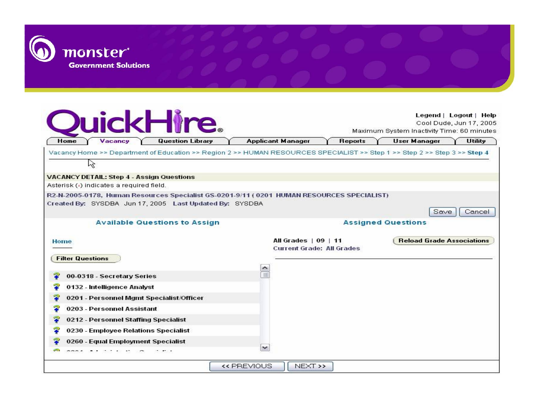

|                         | Vacancy<br><b>Question Library</b><br>Home |                                                                                                                           |               | <b>Applicant Manager</b>         | <b>Reports</b> | <b>User Manager</b><br>Utility   |        |  |
|-------------------------|--------------------------------------------|---------------------------------------------------------------------------------------------------------------------------|---------------|----------------------------------|----------------|----------------------------------|--------|--|
|                         |                                            | Vacancy Home >> Department of Education >> Region 2 >> HUMAN RESOURCES SPECIALIST >> Step 1 >> Step 2 >> Step 3 >> Step 4 |               |                                  |                |                                  |        |  |
| ドク                      |                                            |                                                                                                                           |               |                                  |                |                                  |        |  |
|                         |                                            | <b>VACANCY DETAIL: Step 4 - Assign Questions</b>                                                                          |               |                                  |                |                                  |        |  |
|                         | Asterisk (a) indicates a required field.   |                                                                                                                           |               |                                  |                |                                  |        |  |
|                         |                                            | R2-N-2005-0178, Human Resources Specialist GS-0201-9/11 ( 0201 HUMAN RESOURCES SPECIALIST)                                |               |                                  |                |                                  |        |  |
|                         |                                            | Created By: SYSDBA Jun 17, 2005 Last Updated By: SYSDBA                                                                   |               |                                  |                |                                  |        |  |
|                         |                                            |                                                                                                                           |               |                                  |                | Save                             | Cancel |  |
|                         |                                            | <b>Available Questions to Assign</b>                                                                                      |               |                                  |                | <b>Assigned Questions</b>        |        |  |
| Home                    |                                            |                                                                                                                           |               | All Grades   09   11             |                | <b>Reload Grade Associations</b> |        |  |
|                         |                                            |                                                                                                                           |               | <b>Current Grade: All Grades</b> |                |                                  |        |  |
| <b>Filter Questions</b> |                                            |                                                                                                                           |               |                                  |                |                                  |        |  |
|                         |                                            |                                                                                                                           | ᄉ<br>$\equiv$ |                                  |                |                                  |        |  |
|                         | 00-0318 - Secretary Series                 |                                                                                                                           |               |                                  |                |                                  |        |  |
|                         | 0132 - Intelligence Analyst                |                                                                                                                           |               |                                  |                |                                  |        |  |
|                         |                                            | 0201 - Personnel Mgmt Specialist/Officer                                                                                  |               |                                  |                |                                  |        |  |
|                         | 0203 - Personnel Assistant                 |                                                                                                                           |               |                                  |                |                                  |        |  |
|                         |                                            |                                                                                                                           |               |                                  |                |                                  |        |  |
|                         | 0212 - Personnel Staffing Specialist       |                                                                                                                           |               |                                  |                |                                  |        |  |
|                         | 0230 - Employee Relations Specialist       |                                                                                                                           |               |                                  |                |                                  |        |  |
|                         | 0260 - Equal Employment Specialist         |                                                                                                                           | $\checkmark$  |                                  |                |                                  |        |  |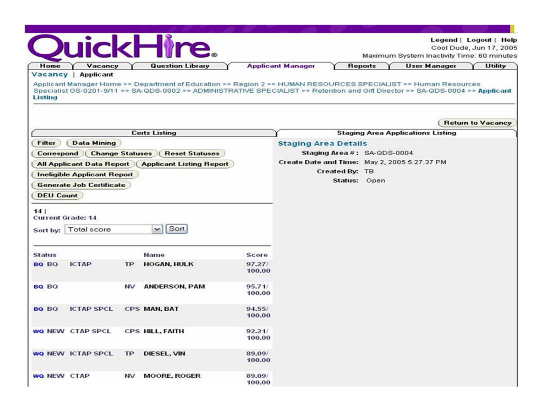|                    |                                    |           |                                                                                                                                                                                                                                                  | Legend   Logout   Help<br>Cool Dude, Jun 17, 2005<br>Maximum System Inactivity Time: 60 minutes |                                              |                |                             |                     |                                          |                |                          |
|--------------------|------------------------------------|-----------|--------------------------------------------------------------------------------------------------------------------------------------------------------------------------------------------------------------------------------------------------|-------------------------------------------------------------------------------------------------|----------------------------------------------|----------------|-----------------------------|---------------------|------------------------------------------|----------------|--------------------------|
| Home<br>Vacancy    | Vacancy<br><b>Applicant</b>        |           | <b>Question Library</b>                                                                                                                                                                                                                          | <b>Applicant Manager</b>                                                                        |                                              | <b>Reports</b> |                             | <b>User Manager</b> |                                          | <b>Utility</b> |                          |
| Listing            |                                    |           | Applicant Manager Home >> Department of Education >> Region 2 >> HUMAN RESOURCES SPECIALIST >> Human Resources<br>Specialist GS-0201-9/11 >> SA-QDS-0002 >> ADMINISTRATIVE SPECIALIST >> Retention and Gift Director >> SA-QDS-0004 >> Applicant |                                                                                                 |                                              |                |                             |                     |                                          |                |                          |
|                    |                                    |           |                                                                                                                                                                                                                                                  |                                                                                                 |                                              |                |                             |                     |                                          |                | <b>Return to Vacancy</b> |
|                    |                                    |           | <b>Certs Listing</b>                                                                                                                                                                                                                             |                                                                                                 |                                              |                |                             |                     | <b>Staging Area Applications Listing</b> |                |                          |
| Filter             | <b>Data Mining</b>                 |           |                                                                                                                                                                                                                                                  |                                                                                                 | <b>Staging Area Details</b>                  |                |                             |                     |                                          |                |                          |
|                    | Correspond   Change Statuses       |           | <b>Reset Statuses</b>                                                                                                                                                                                                                            |                                                                                                 |                                              |                | Staging Area #: SA-QDS-0004 |                     |                                          |                |                          |
|                    |                                    |           | <b>All Applicant Data Report   Applicant Listing Report</b>                                                                                                                                                                                      |                                                                                                 | Create Date and Time: May 2, 2005 5:27:37 PM |                |                             |                     |                                          |                |                          |
|                    | <b>Ineligible Applicant Report</b> |           |                                                                                                                                                                                                                                                  |                                                                                                 |                                              | Created By: TB |                             |                     |                                          |                |                          |
|                    | <b>Generate Job Certificate</b>    |           |                                                                                                                                                                                                                                                  |                                                                                                 |                                              | Status: Open   |                             |                     |                                          |                |                          |
| <b>DEU Count</b>   |                                    |           |                                                                                                                                                                                                                                                  |                                                                                                 |                                              |                |                             |                     |                                          |                |                          |
| 14                 | <b>Current Grade: 14</b>           |           |                                                                                                                                                                                                                                                  |                                                                                                 |                                              |                |                             |                     |                                          |                |                          |
| Sort by:           | Total score                        |           | Sort<br>$\checkmark$                                                                                                                                                                                                                             |                                                                                                 |                                              |                |                             |                     |                                          |                |                          |
| <b>Status</b>      |                                    |           | <b>Name</b>                                                                                                                                                                                                                                      | Score                                                                                           |                                              |                |                             |                     |                                          |                |                          |
| BQ BQ              | <b>ICTAP</b>                       | <b>TP</b> | <b>HOGAN, HULK</b>                                                                                                                                                                                                                               | 97.27/<br>100.00                                                                                |                                              |                |                             |                     |                                          |                |                          |
| <b>BQ BO</b>       |                                    | NV        | <b>ANDERSON, PAM</b>                                                                                                                                                                                                                             | 95.71/<br>100.00                                                                                |                                              |                |                             |                     |                                          |                |                          |
| <b>BQ BQ</b>       | <b>ICTAP SPCL</b>                  |           | CPS MAN, BAT                                                                                                                                                                                                                                     | 94.55j<br>100.00                                                                                |                                              |                |                             |                     |                                          |                |                          |
|                    | WO NEW CTAP SPCL                   |           | CPS HILL, FAITH                                                                                                                                                                                                                                  | 92.21/<br>100.00                                                                                |                                              |                |                             |                     |                                          |                |                          |
|                    | WO NEW ICTAP SPCL                  | <b>TP</b> | DIESEL, VIN                                                                                                                                                                                                                                      | 89.09/<br>100.00                                                                                |                                              |                |                             |                     |                                          |                |                          |
| <b>WQ NEW CTAP</b> |                                    | <b>NV</b> | <b>MOORE, ROGER</b>                                                                                                                                                                                                                              | 89.09/<br>100.00                                                                                |                                              |                |                             |                     |                                          |                |                          |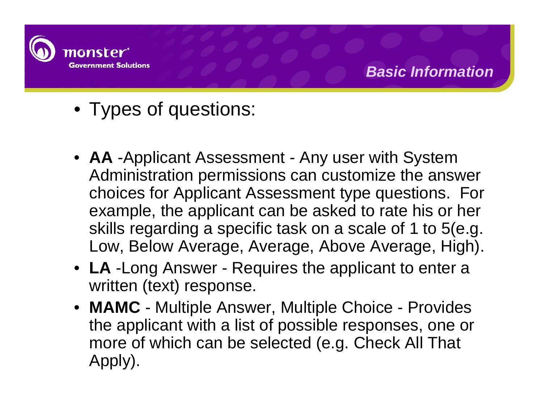

- Types of questions:
- **AA** -Applicant Assessment Any user with System Administration permissions can customize the answer choices for Applicant Assessment type questions. For example, the applicant can be asked to rate his or her skills regarding a specific task on a scale of 1 to 5(e.g. Low, Below Average, Average, Above Average, High).
- **LA** -Long Answer Requires the applicant to enter a written (text) response.
- **MAMC** Multiple Answer, Multiple Choice Provides the applicant with a list of possible responses, one or more of which can be selected (e.g. Check All That Apply).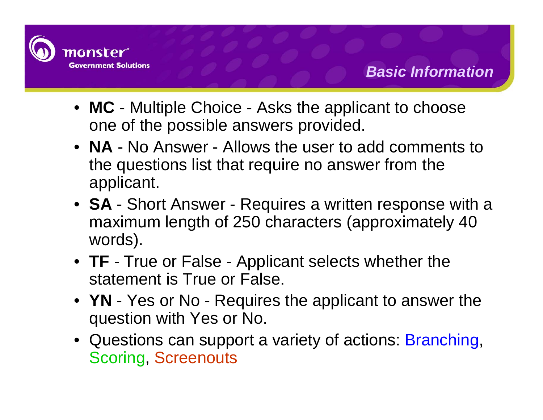

- **MC** Multiple Choice Asks the applicant to choose one of the possible answers provided.
- **NA** No Answer Allows the user to add comments to the questions list that require no answer from the applicant.
- **SA** Short Answer Requires a written response with a maximum length of 250 characters (approximately 40 words).
- **TF** True or False Applicant selects whether the statement is True or False.
- **YN** Yes or No Requires the applicant to answer the question with Yes or No.
- Questions can support a variety of actions: Branching, Scoring, Screenouts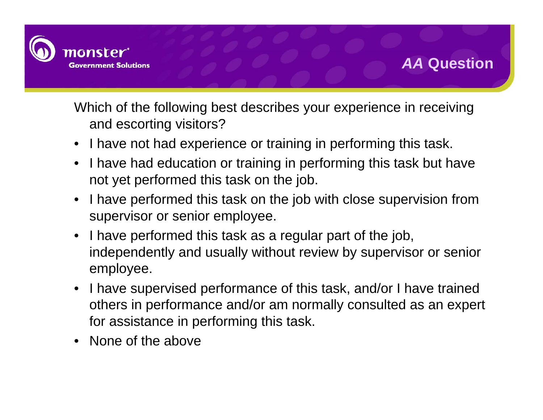

Which of the following best describes your experience in receiving and escorting visitors?

- •I have not had experience or training in performing this task.
- • I have had education or training in performing this task but have not yet performed this task on the job.
- • I have performed this task on the job with close supervision from supervisor or senior employee.
- $\bullet$  I have performed this task as a regular part of the job, independently and usually without review by supervisor or senior employee.
- I have supervised performance of this task, and/or I have trained others in performance and/or am normally consulted as an expert for assistance in performing this task.
- •None of the above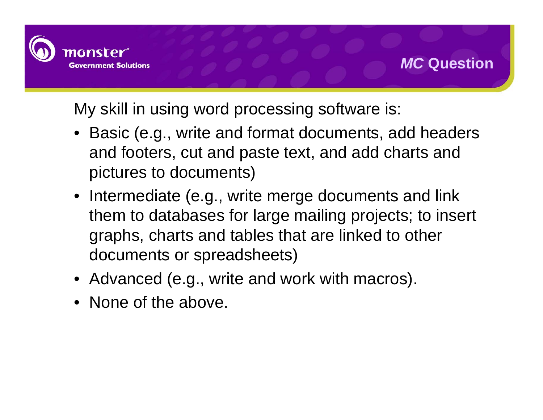

My skill in using word processing software is:

- Basic (e.g., write and format documents, add headers and footers, cut and paste text, and add charts and pictures to documents)
- Intermediate (e.g., write merge documents and link them to databases for large mailing projects; to insert graphs, charts and tables that are linked to other documents or spreadsheets)
- Advanced (e.g., write and work with macros).
- None of the above.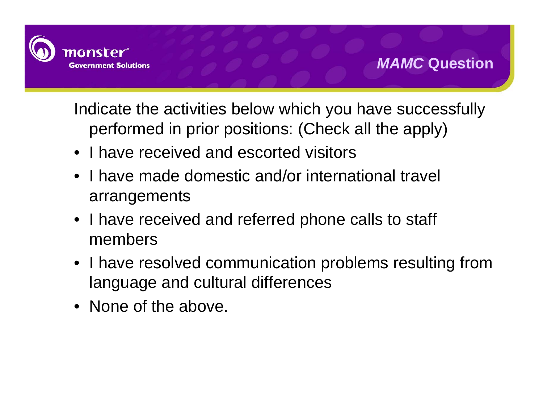

Indicate the activities below which you have successfully performed in prior positions: (Check all the apply)

- I have received and escorted visitors
- I have made domestic and/or international travel arrangements
- I have received and referred phone calls to staff members
- I have resolved communication problems resulting from language and cultural differences
- None of the above.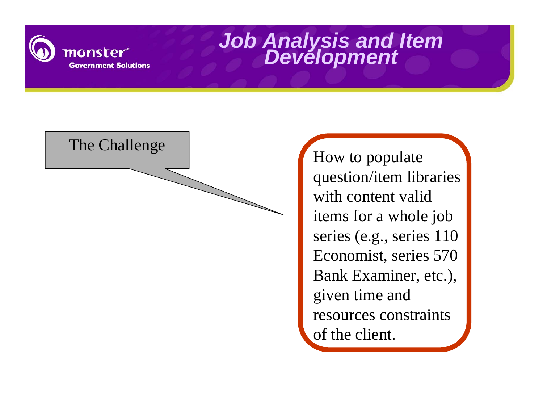



question/item libraries with content valid items for a whole job series (e.g., series 110 Economist, series 570 Bank Examiner, etc.), given time and resources constraints of the client.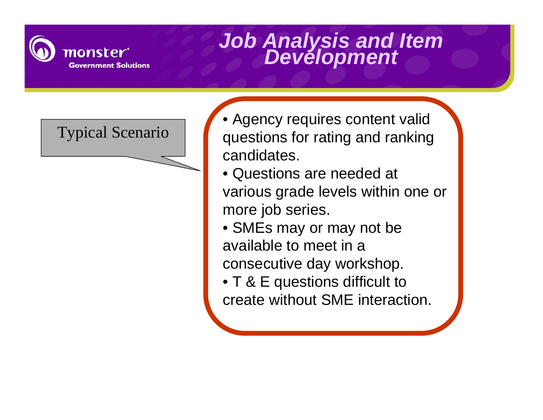

- Typical Scenario Agency requires content valid questions for rating and ranking candidates.
	- Questions are needed at various grade levels within one or more job series.
	- SMEs may or may not be available to meet in a consecutive day workshop.
	- T & E questions difficult to create without SME interaction.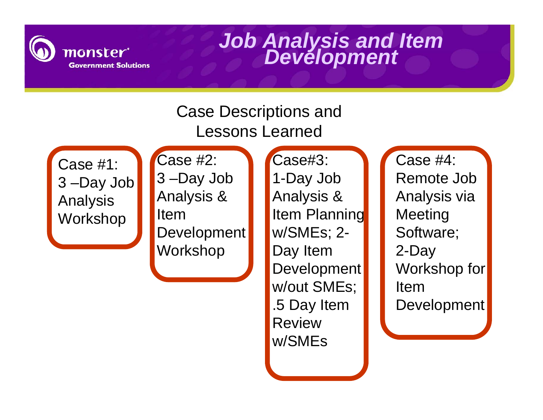

### Case Descriptions and Lessons Learned

Case #1: 3 –Day Job Analysis Workshop

Case #2: 3 –Day Job Analysis & Item Development Workshop

Case#3: 1-Day Job Analysis & Item Planning w/SMEs; 2- Day Item Development w/out SMEs; .5 Day Item Review w/SMEs

Case #4: Remote Job Analysis via Meeting Software; 2-Day Workshop for Item Development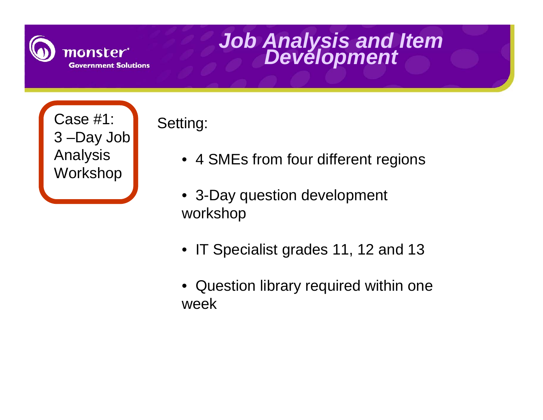

Case #1: 3 –Day Job Analysis Workshop

Setting:

- 4 SMEs from four different regions
- 3-Day question development workshop
- IT Specialist grades 11, 12 and 13
- Question library required within one week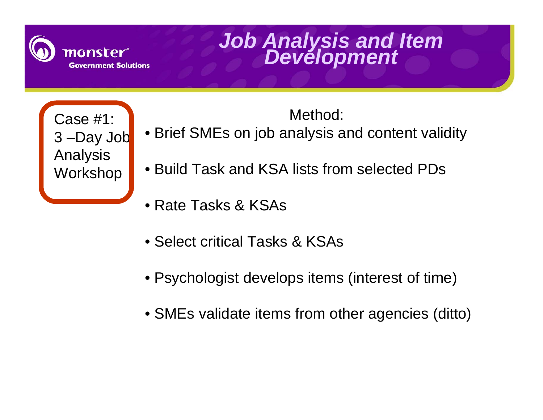

Case #1: 3 –Day Job Analysis **Workshop** 

- Brief SMEs on job analysis and content validity
- Build Task and KSA lists from selected PDs
- Rate Tasks & KSAs
- Select critical Tasks & KSAs
- Psychologist develops items (interest of time)
- SMEs validate items from other agencies (ditto)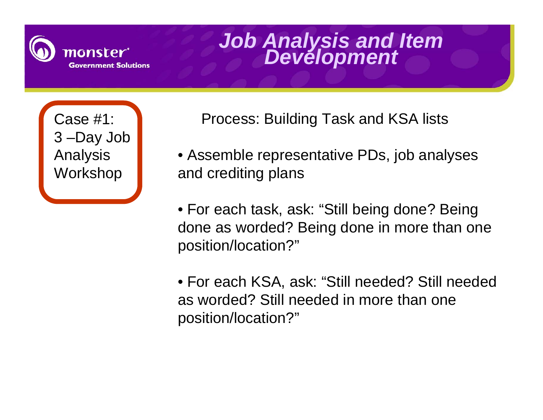

Case #1: 3 –Day Job Analysis Workshop

Process: Building Task and KSA lists

- Assemble representative PDs, job analyses and crediting plans
- For each task, ask: "Still being done? Being done as worded? Being done in more than one position/location?"
- For each KSA, ask: "Still needed? Still needed as worded? Still needed in more than one position/location?"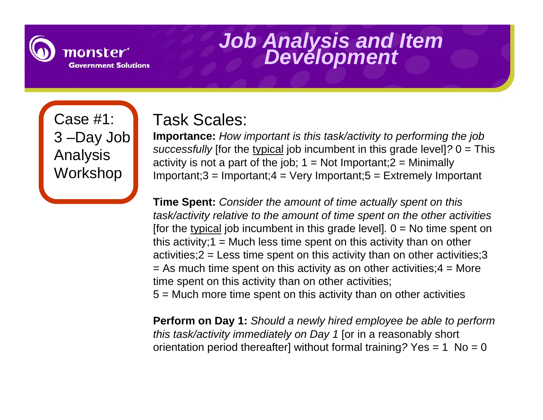

Case #1: 3 –Day Job Analysis **Workshop** 

### Task Scales:

**Importance:** *How important is this task/activity to performing the job successfully* [for the typical job incumbent in this grade level]*?* 0 = This activity is not a part of the job;  $1 = Not$  Important;  $2 = Minimally$  $Important;3 = Important;4 = Very Important;5 = Extremely Important$ 

**Time Spent:** *Consider the amount of time actually spent on this task/activity relative to the amount of time spent on the other activities*  [for the typical job incumbent in this grade level].  $0 = No$  time spent on this activity;  $1 = Much$  less time spent on this activity than on other activities;  $2 =$  Less time spent on this activity than on other activities;  $3$  $=$  As much time spent on this activity as on other activities;  $4 =$  More time spent on this activity than on other activities;

5 = Much more time spent on this activity than on other activities

**Perform on Day 1:** *Should a newly hired employee be able to perform this task/activity immediately on Day 1* [or in a reasonably short orientation period thereafter] without formal training *?* Yes = 1 No = 0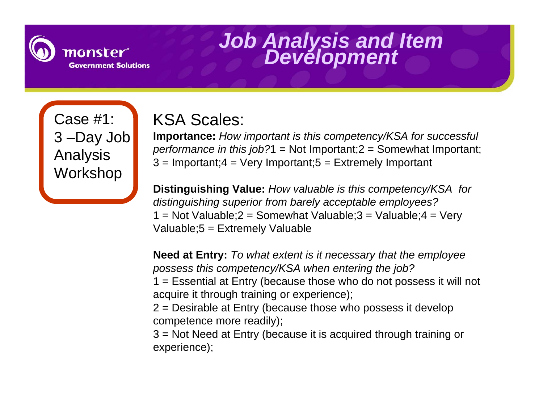

Case #1: 3 –Day Job Analysis **Workshop** 

### KSA Scales:

**Importance:** *How important is this competency/KSA for successful performance in this job?1* = Not Important; 2 = Somewhat Important;  $3 =$  Important;  $4 =$  Very Important;  $5 =$  Extremely Important

**Distinguishing Value:** *How valuable is this competency/KSA for distinguishing superior from barely acceptable employees?* 1 = Not Valuable;  $2 =$  Somewhat Valuable;  $3 =$  Valuable;  $4 =$  Very Valuable;5 = Extremely Valuable

**Need at Entry:** *To what extent is it necessary that the employee possess this competency/KSA when entering the job?*

1 = Essential at Entry (because those who do not possess it will not acquire it through training or experience);

2 = Desirable at Entry (because those who possess it develop competence more readily);

3 = Not Need at Entry (because it is acquired through training or experience);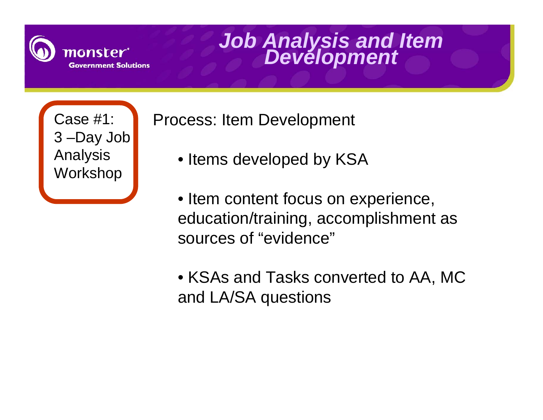

Case #1: 3 –Day Job Analysis Workshop

Process: Item Development

- Items developed by KSA
- Item content focus on experience, education/training, accomplishment as sources of "evidence"
- KSAs and Tasks converted to AA, MC and LA/SA questions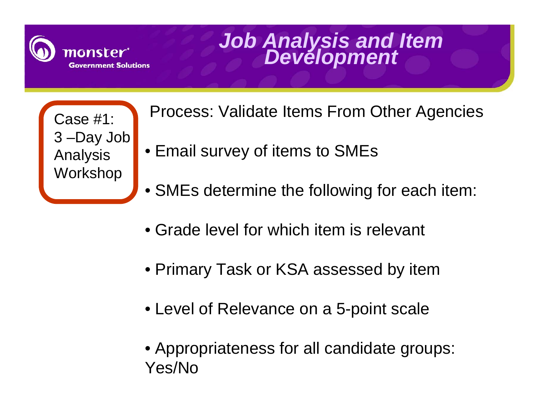

Case #1: 3 –Day Job Analysis **Workshop** 

Process: Validate Items From Other Agencies

- Email survey of items to SMEs
- SMEs determine the following for each item:
- Grade level for which item is relevant
- Primary Task or KSA assessed by item
- Level of Relevance on a 5-point scale
- Appropriateness for all candidate groups: Yes/No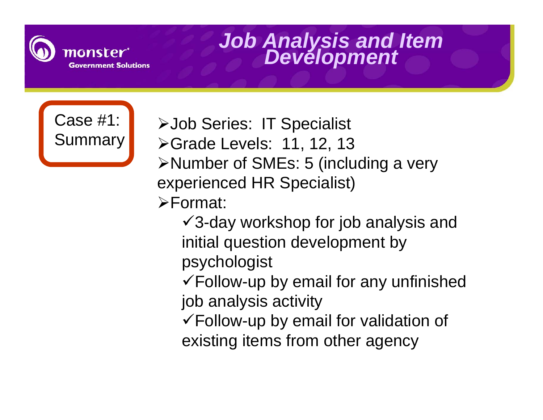



¾Job Series: IT Specialist **≻Grade Levels: 11, 12, 13** ¾Number of SMEs: 5 (including a very experienced HR Specialist) ¾Format:  $\sqrt{3}$ -day workshop for job analysis and initial question development by psychologist  $\checkmark$  Follow-up by email for any unfinished job analysis activity

 $\checkmark$  Follow-up by email for validation of existing items from other agency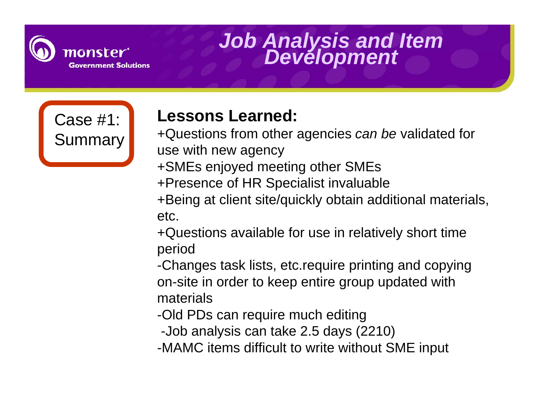

Case #1: Summary

### **Lessons Learned:**

+Questions from other agencies *can be* validated for use with new agency

- +SMEs enjoyed meeting other SMEs
- +Presence of HR Specialist invaluable
- +Being at client site/quickly obtain additional materials, etc.
- +Questions available for use in relatively short time period

-Changes task lists, etc.require printing and copying on-site in order to keep entire group updated with materials

- -Old PDs can require much editing
- -Job analysis can take 2.5 days (2210)
- -MAMC items difficult to write without SME input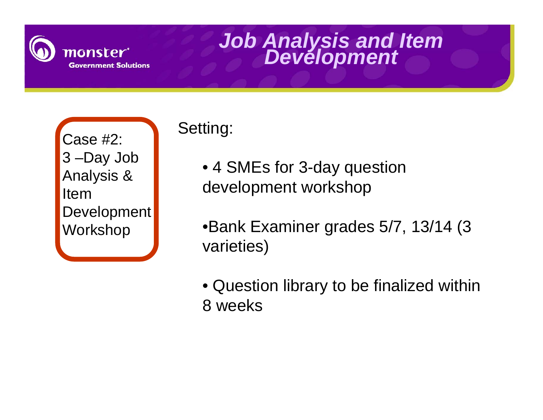

Case #2: 3 –Day Job Analysis & Item Development Workshop

### Setting:

• 4 SMEs for 3-day question development workshop

•Bank Examiner grades 5/7, 13/14 (3 varieties)

• Question library to be finalized within 8 weeks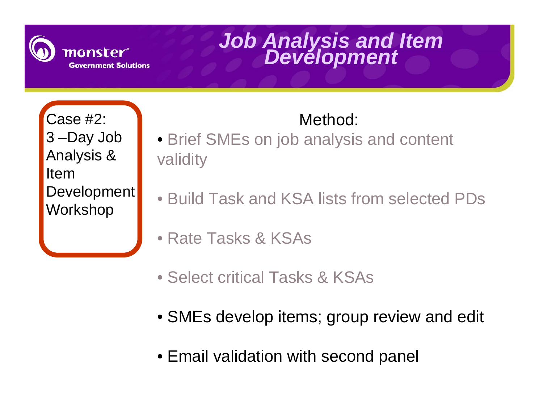

Case #2: 3 –Day Job Analysis & Item Development Workshop

- Brief SMEs on job analysis and content validity
- Build Task and KSA lists from selected PDs
- Rate Tasks & KSAs
- Select critical Tasks & KSAs
- SMEs develop items; group review and edit
- Email validation with second panel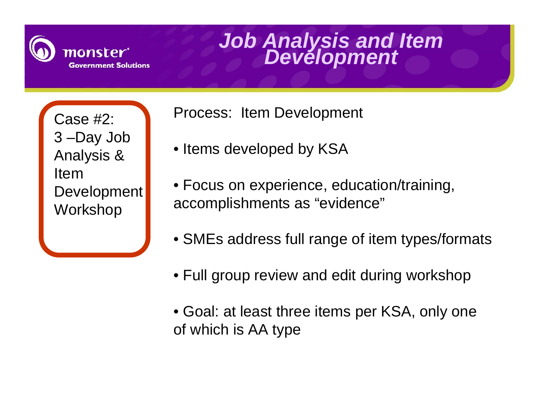

Case #2: 3 –Day Job Analysis & Item Development Workshop

Process: Item Development

- Items developed by KSA
- Focus on experience, education/training, accomplishments as "evidence"
- SMEs address full range of item types/formats
- Full group review and edit during workshop
- Goal: at least three items per KSA, only one of which is AA type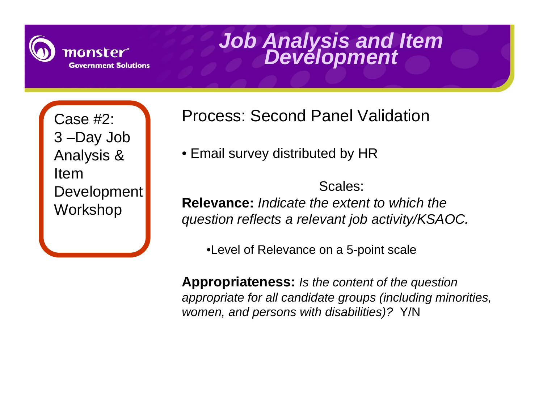

Case #2: 3 –Day Job Analysis & Item Development Workshop

Process: Second Panel Validation

• Email survey distributed by HR

Scales: **Relevance:** *Indicate the extent to which the question reflects a relevant job activity/KSAOC.*

•Level of Relevance on a 5-point scale

**Appropriateness:** *Is the content of the question appropriate for all candidate groups (including minorities, women, and persons with disabilities)?* Y/N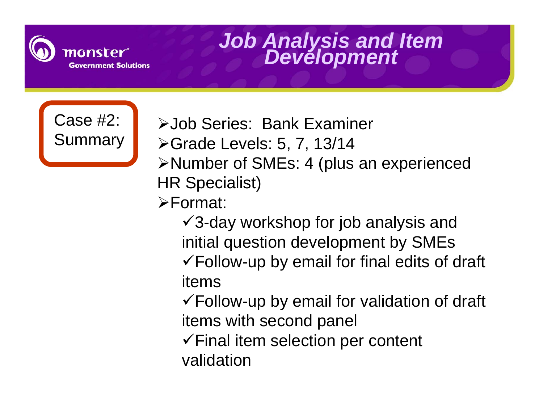



¾Job Series: Bank Examiner

- ¾Grade Levels: 5, 7, 13/14
- ¾Number of SMEs: 4 (plus an experienced HR Specialist)
- ¾Format:

 $\sqrt{3}$ -day workshop for job analysis and initial question development by SMEs  $\checkmark$  Follow-up by email for final edits of draft items

 $\checkmark$  Follow-up by email for validation of draft items with second panel

 $\checkmark$  Final item selection per content validation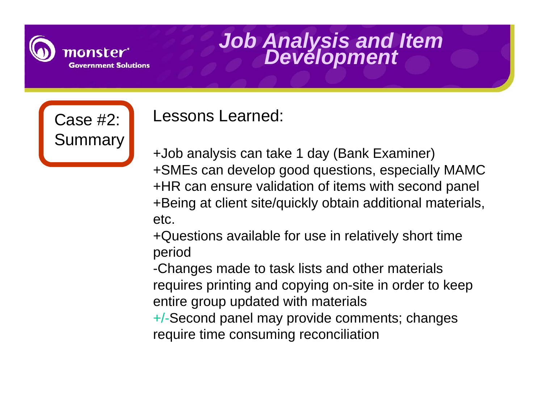

Case #2:

**Summary** 

### *Job Analysis and Item Development*

Lessons Learned:

+Job analysis can take 1 day (Bank Examiner) +SMEs can develop good questions, especially MAMC +HR can ensure validation of items with second panel +Being at client site/quickly obtain additional materials, etc.

+Questions available for use in relatively short time period

-Changes made to task lists and other materials requires printing and copying on-site in order to keep entire group updated with materials

+/-Second panel may provide comments; changes require time consuming reconciliation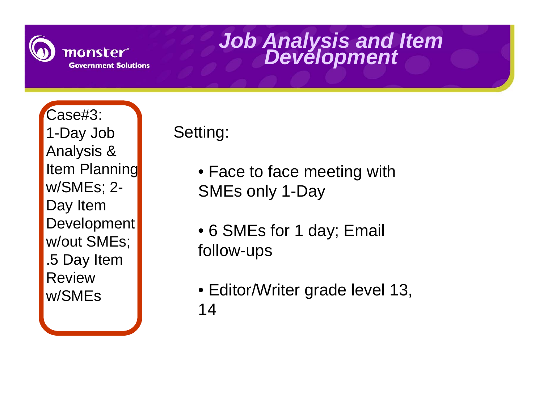

Case#3: 1-Day Job Analysis & Item Planning w/SMEs; 2- Day Item Development w/out SMEs; .5 Day Item Review w/SMEs

Setting:

- Face to face meeting with SMEs only 1-Day
- 6 SMEs for 1 day; Email follow-ups
- Editor/Writer grade level 13, 14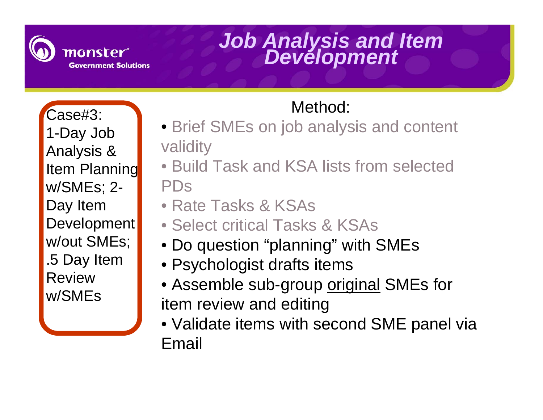

Case#3: 1-Day Job Analysis & Item Planning w/SMEs; 2- Day Item Development w/out SMEs; .5 Day Item Review w/SMEs

- Brief SMEs on job analysis and content validity
- Build Task and KSA lists from selected PDs
- Rate Tasks & KSAs
- Select critical Tasks & KSAs
- Do question "planning" with SMEs
- Psychologist drafts items
- Assemble sub-group <u>original</u> SMEs for item review and editing
- Validate items with second SME panel via Email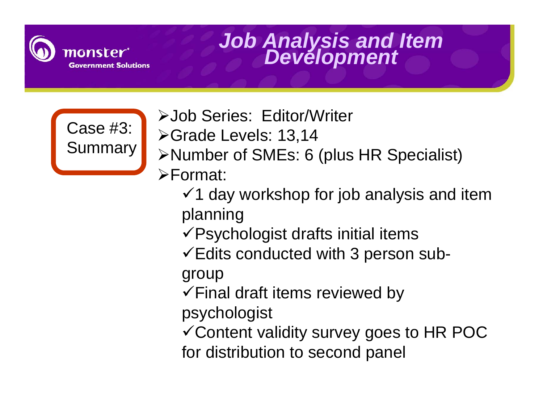



- ¾Job Series: Editor/Writer ¾Grade Levels: 13,14 ¾Number of SMEs: 6 (plus HR Specialist)  $\blacktriangleright$ Format:  $\checkmark$ 1 day workshop for job analysis and item
	- planning
	- $\sqrt{P}$ sychologist drafts initial items
	- $\checkmark$  Edits conducted with 3 person sub-

group

- $\checkmark$  Final draft items reviewed by
- psychologist
- $\checkmark$  Content validity survey goes to HR POC for distribution to second panel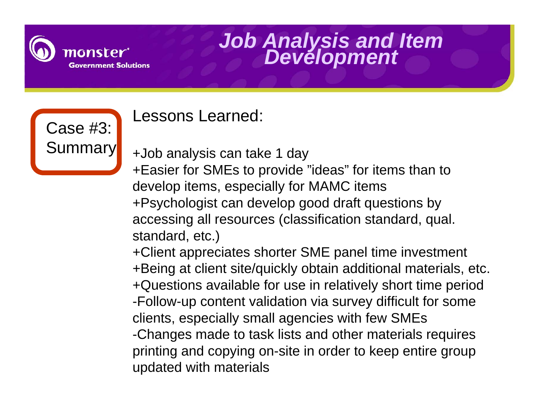



### Lessons Learned:

+Job analysis can take 1 day

+Easier for SMEs to provide "ideas" for items than to develop items, especially for MAMC items +Psychologist can develop good draft questions by accessing all resources (classification standard, qual. standard, etc.)

+Client appreciates shorter SME panel time investment +Being at client site/quickly obtain additional materials, etc. +Questions available for use in relatively short time period -Follow-up content validation via survey difficult for some clients, especially small agencies with few SMEs -Changes made to task lists and other materials requires printing and copying on-site in order to keep entire group updated with materials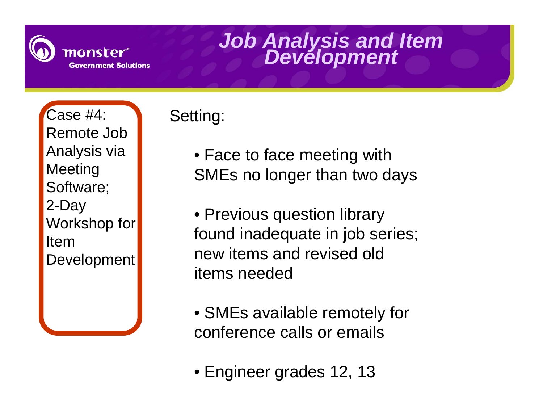

Case #4: Remote Job Analysis via Meeting Software; 2-Day Workshop for Item Development

### Setting:

• Face to face meeting with SMEs no longer than two days

• Previous question library found inadequate in job series; new items and revised old items needed

- SMEs available remotely for conference calls or emails
- Engineer grades 12, 13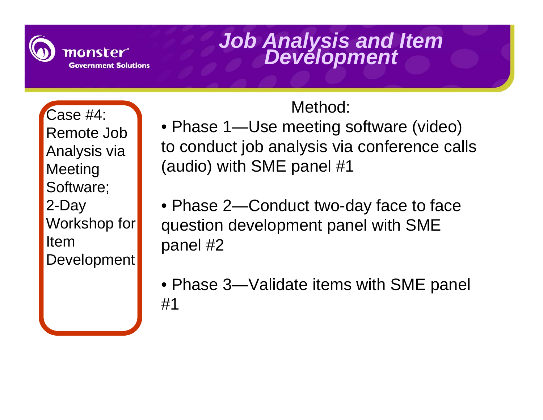

Case #4: Remote Job Analysis via **Meeting** Software; 2-Day Workshop for Item Development

- Phase 1—Use meeting software (video) to conduct job analysis via conference calls (audio) with SME panel #1
- Phase 2—Conduct two-day face to face question development panel with SME panel #2
- Phase 3—Validate items with SME panel #1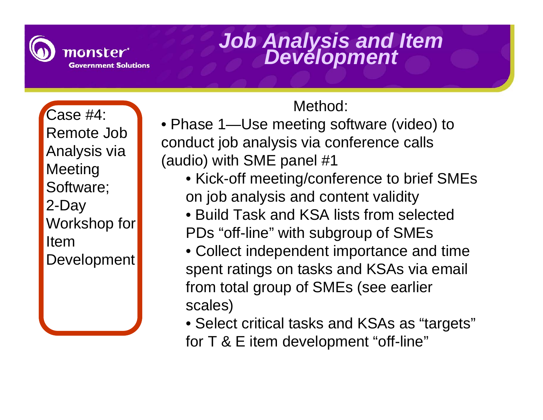

Case #4: Remote Job Analysis via Meeting Software; 2-Day Workshop for Item Development

- Phase 1—Use meeting software (video) to conduct job analysis via conference calls (audio) with SME panel #1
	- Kick-off meeting/conference to brief SMEs on job analysis and content validity
	- Build Task and KSA lists from selected PDs "off-line" with subgroup of SMEs
	- Collect independent importance and time spent ratings on tasks and KSAs via email from total group of SMEs (see earlier scales)
	- Select critical tasks and KSAs as "targets" for T & E item development "off-line"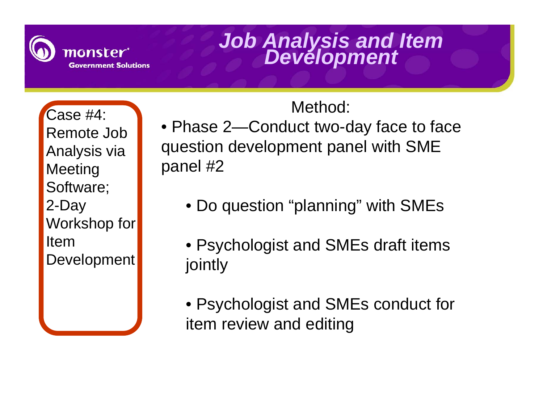

Case #4: Remote Job Analysis via **Meeting** Software; 2-Day Workshop for Item Development

- Phase 2—Conduct two-day face to face question development panel with SME panel #2
	- Do question "planning" with SMEs
	- Psychologist and SMEs draft items jointly
	- Psychologist and SMEs conduct for item review and editing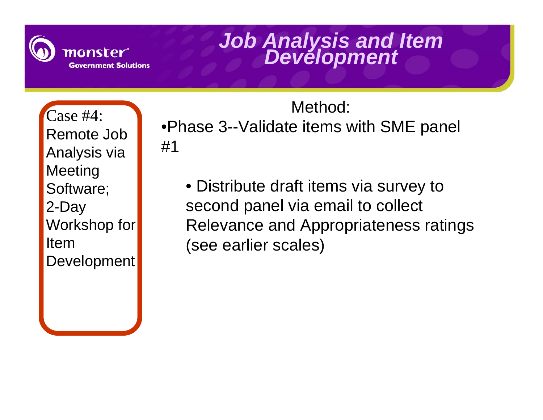

Case #4: Remote Job Analysis via **Meeting** Software; 2-Day Workshop for Item **Development** 

Method: •Phase 3--Validate items with SME panel #1

• Distribute draft items via survey to second panel via email to collect Relevance and Appropriateness ratings (see earlier scales)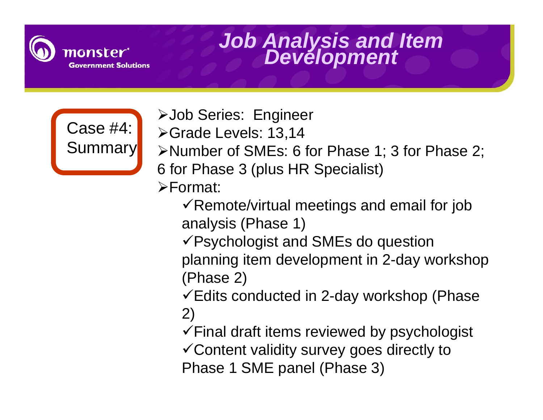



¾Grade Levels: 13,14 ¾Number of SMEs: 6 for Phase 1; 3 for Phase 2; 6 for Phase 3 (plus HR Specialist)  $\blacktriangleright$ Format:

¾Job Series: Engineer

- $\checkmark$  Remote/virtual meetings and email for job analysis (Phase 1)
- $\sqrt{P}$ sychologist and SMEs do question planning item development in 2-day workshop (Phase 2)
- $\checkmark$ Edits conducted in 2-day workshop (Phase 2)
- $\checkmark$  Final draft items reviewed by psychologist
- $\checkmark$  Content validity survey goes directly to Phase 1 SME panel (Phase 3)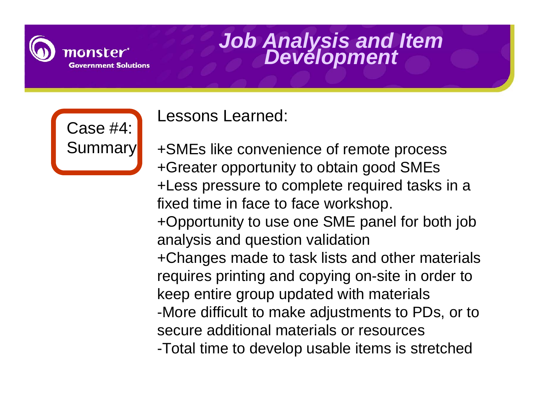

Case #4: **Summary**  Lessons Learned:

+SMEs like convenience of remote process +Greater opportunity to obtain good SMEs +Less pressure to complete required tasks in a fixed time in face to face workshop. +Opportunity to use one SME panel for both job analysis and question validation +Changes made to task lists and other materials requires printing and copying on-site in order to keep entire group updated with materials -More difficult to make adjustments to PDs, or to secure additional materials or resources-Total time to develop usable items is stretched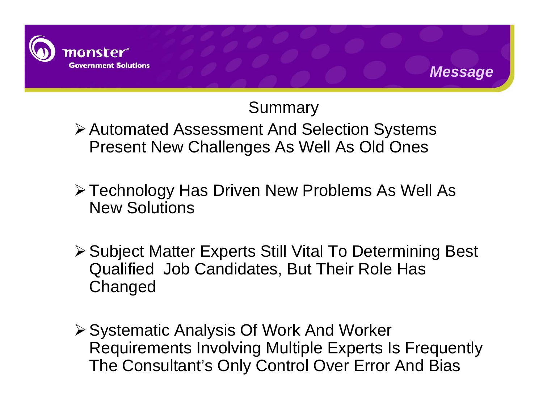

### Summary

*Message*

¾Automated Assessment And Selection Systems Present New Challenges As Well As Old Ones

- ¾Technology Has Driven New Problems As Well As New Solutions
- ¾Subject Matter Experts Still Vital To Determining Best Qualified Job Candidates, But Their Role Has **Changed**
- ¾Systematic Analysis Of Work And Worker Requirements Involving Multiple Experts Is Frequently The Consultant's Only Control Over Error And Bias